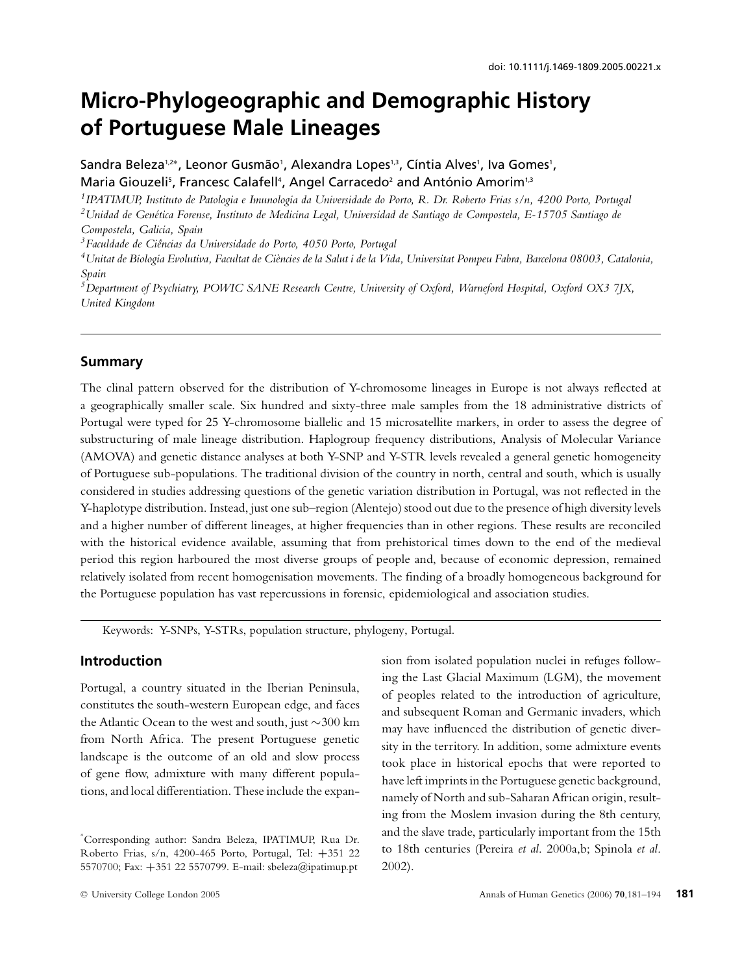# **Micro-Phylogeographic and Demographic History of Portuguese Male Lineages**

Sandra Beleza<sup>1,2\*</sup>, Leonor Gusmão<sup>1</sup>, Alexandra Lopes<sup>1,3</sup>, Cíntia Alves<sup>1</sup>, Iva Gomes<sup>1</sup>, Maria Giouzeli<sup>5</sup>, Francesc Calafell<sup>4</sup>, Angel Carracedo<sup>2</sup> and António Amorim<sup>1,3</sup>

*1IPATIMUP, Instituto de Patologia e Imunologia da Universidade do Porto, R. Dr. Roberto Frias s/n, 4200 Porto, Portugal 2Unidad de Genetica Forense, Instituto de Medicina Legal, Universidad de Santiago de Compostela, E-15705 Santiago de ´*

*Compostela, Galicia, Spain*

*3Faculdade de Ciencias da Universidade do Porto, 4050 Porto, Portugal ˆ*

*4Unitat de Biologia Evolutiva, Facultat de Ciencies de la Salut i de la Vida, Universitat Pompeu Fabra, Barcelona 08003, Catalonia, ` Spain*

*5Department of Psychiatry, POWIC SANE Research Centre, University of Oxford, Warneford Hospital, Oxford OX3 7JX, United Kingdom*

## **Summary**

The clinal pattern observed for the distribution of Y-chromosome lineages in Europe is not always reflected at a geographically smaller scale. Six hundred and sixty-three male samples from the 18 administrative districts of Portugal were typed for 25 Y-chromosome biallelic and 15 microsatellite markers, in order to assess the degree of substructuring of male lineage distribution. Haplogroup frequency distributions, Analysis of Molecular Variance (AMOVA) and genetic distance analyses at both Y-SNP and Y-STR levels revealed a general genetic homogeneity of Portuguese sub-populations. The traditional division of the country in north, central and south, which is usually considered in studies addressing questions of the genetic variation distribution in Portugal, was not reflected in the Y-haplotype distribution. Instead, just one sub–region (Alentejo) stood out due to the presence of high diversity levels and a higher number of different lineages, at higher frequencies than in other regions. These results are reconciled with the historical evidence available, assuming that from prehistorical times down to the end of the medieval period this region harboured the most diverse groups of people and, because of economic depression, remained relatively isolated from recent homogenisation movements. The finding of a broadly homogeneous background for the Portuguese population has vast repercussions in forensic, epidemiological and association studies.

Keywords: Y-SNPs, Y-STRs, population structure, phylogeny, Portugal.

# **Introduction**

Portugal, a country situated in the Iberian Peninsula, constitutes the south-western European edge, and faces the Atlantic Ocean to the west and south, just ∼300 km from North Africa. The present Portuguese genetic landscape is the outcome of an old and slow process of gene flow, admixture with many different populations, and local differentiation. These include the expansion from isolated population nuclei in refuges following the Last Glacial Maximum (LGM), the movement of peoples related to the introduction of agriculture, and subsequent Roman and Germanic invaders, which may have influenced the distribution of genetic diversity in the territory. In addition, some admixture events took place in historical epochs that were reported to have left imprints in the Portuguese genetic background, namely of North and sub-Saharan African origin, resulting from the Moslem invasion during the 8th century, and the slave trade, particularly important from the 15th to 18th centuries (Pereira *et al*. 2000a,b; Spinola *et al*. 2002).

<sup>∗</sup> Corresponding author: Sandra Beleza, IPATIMUP, Rua Dr. Roberto Frias, s/n, 4200-465 Porto, Portugal, Tel: **+**351 22 5570700; Fax: **+**351 22 5570799. E-mail: sbeleza@ipatimup.pt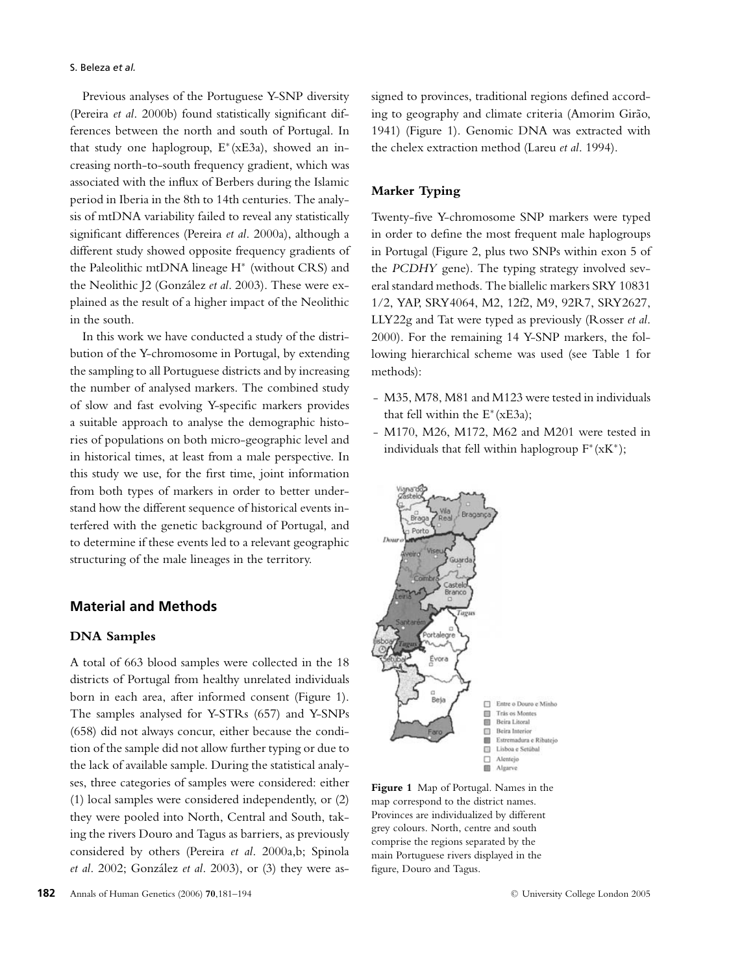#### S. Beleza *et al.*

Previous analyses of the Portuguese Y-SNP diversity (Pereira *et al*. 2000b) found statistically significant differences between the north and south of Portugal. In that study one haplogroup,  $E^*(xE3a)$ , showed an increasing north-to-south frequency gradient, which was associated with the influx of Berbers during the Islamic period in Iberia in the 8th to 14th centuries. The analysis of mtDNA variability failed to reveal any statistically significant differences (Pereira *et al*. 2000a), although a different study showed opposite frequency gradients of the Paleolithic mtDNA lineage H<sup>∗</sup> (without CRS) and the Neolithic J2 (González et al. 2003). These were explained as the result of a higher impact of the Neolithic in the south.

In this work we have conducted a study of the distribution of the Y-chromosome in Portugal, by extending the sampling to all Portuguese districts and by increasing the number of analysed markers. The combined study of slow and fast evolving Y-specific markers provides a suitable approach to analyse the demographic histories of populations on both micro-geographic level and in historical times, at least from a male perspective. In this study we use, for the first time, joint information from both types of markers in order to better understand how the different sequence of historical events interfered with the genetic background of Portugal, and to determine if these events led to a relevant geographic structuring of the male lineages in the territory.

# **Material and Methods**

# **DNA Samples**

A total of 663 blood samples were collected in the 18 districts of Portugal from healthy unrelated individuals born in each area, after informed consent (Figure 1). The samples analysed for Y-STRs (657) and Y-SNPs (658) did not always concur, either because the condition of the sample did not allow further typing or due to the lack of available sample. During the statistical analyses, three categories of samples were considered: either (1) local samples were considered independently, or (2) they were pooled into North, Central and South, taking the rivers Douro and Tagus as barriers, as previously considered by others (Pereira *et al*. 2000a,b; Spinola *et al.* 2002; González *et al.* 2003), or (3) they were assigned to provinces, traditional regions defined according to geography and climate criteria (Amorim Girão, 1941) (Figure 1). Genomic DNA was extracted with the chelex extraction method (Lareu *et al*. 1994).

## **Marker Typing**

Twenty-five Y-chromosome SNP markers were typed in order to define the most frequent male haplogroups in Portugal (Figure 2, plus two SNPs within exon 5 of the *PCDHY* gene). The typing strategy involved several standard methods. The biallelic markers SRY 10831 1/2, YAP, SRY4064, M2, 12f2, M9, 92R7, SRY2627, LLY22g and Tat were typed as previously (Rosser *et al*. 2000). For the remaining 14 Y-SNP markers, the following hierarchical scheme was used (see Table 1 for methods):

- M35, M78, M81 and M123 were tested in individuals that fell within the  $E^*(xE3a)$ ;
- M170, M26, M172, M62 and M201 were tested in individuals that fell within haplogroup  $F^*(xK^*)$ ;



**Figure 1** Map of Portugal. Names in the map correspond to the district names. Provinces are individualized by different grey colours. North, centre and south comprise the regions separated by the main Portuguese rivers displayed in the figure, Douro and Tagus.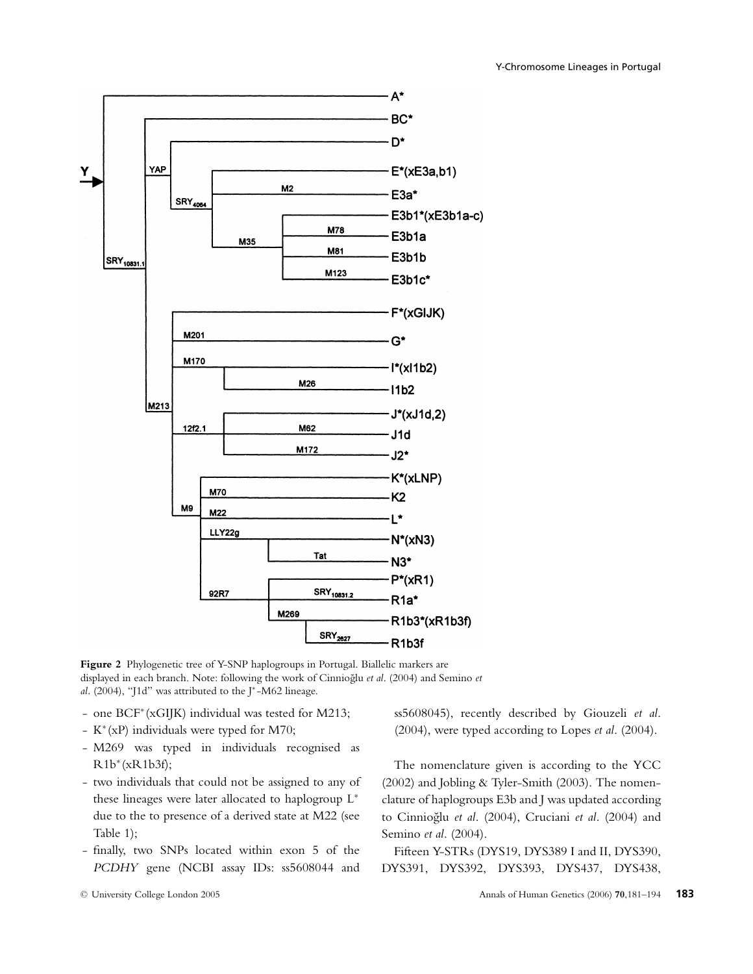

**Figure 2** Phylogenetic tree of Y-SNP haplogroups in Portugal. Biallelic markers are displayed in each branch. Note: following the work of Cinnioglu *et al.* (2004) and Semino *et al*. (2004), "J1d" was attributed to the J<sup>∗</sup> -M62 lineage.

- one BCF<sup>∗</sup> (xGIJK) individual was tested for M213;
- K<sup>∗</sup> (xP) individuals were typed for M70;
- M269 was typed in individuals recognised as R1b<sup>∗</sup> (xR1b3f);
- two individuals that could not be assigned to any of these lineages were later allocated to haplogroup L<sup>∗</sup> due to the to presence of a derived state at M22 (see Table 1);
- finally, two SNPs located within exon 5 of the *PCDHY* gene (NCBI assay IDs: ss5608044 and

ss5608045), recently described by Giouzeli *et al*. (2004), were typed according to Lopes *et al*. (2004).

The nomenclature given is according to the YCC (2002) and Jobling & Tyler-Smith (2003). The nomenclature of haplogroups E3b and J was updated according to Cinnioglu˘ *et al*. (2004), Cruciani *et al*. (2004) and Semino *et al*. (2004).

Fifteen Y-STRs (DYS19, DYS389 I and II, DYS390, DYS391, DYS392, DYS393, DYS437, DYS438,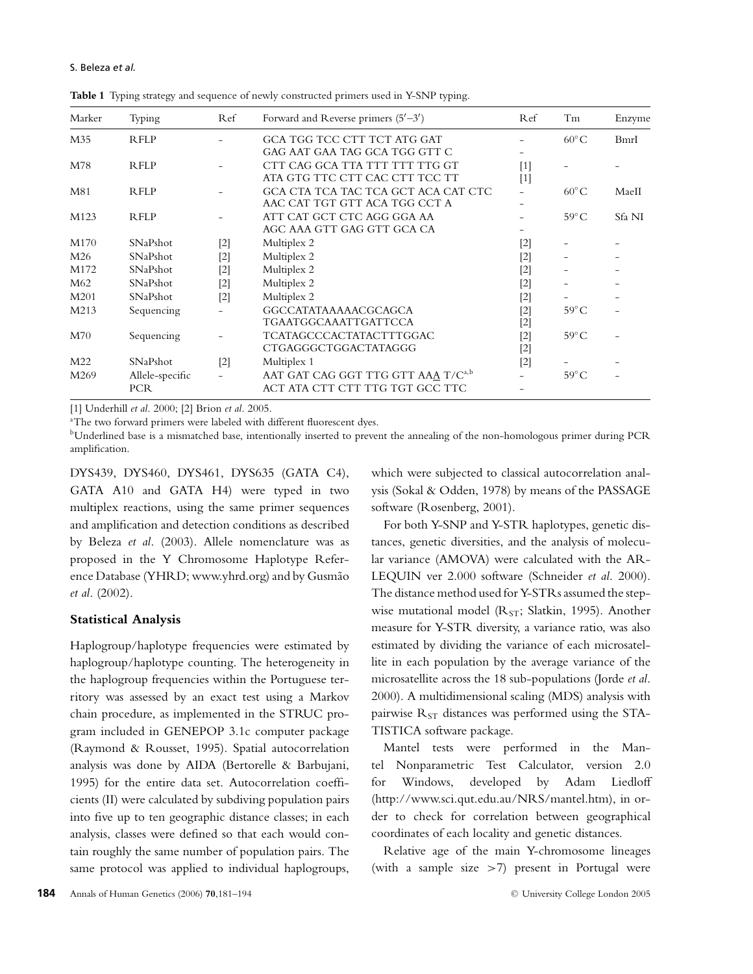| Marker           | <b>Typing</b>                 | Ref   | Forward and Reverse primers $(5'–3')$                                             | Ref                      | Tm             | Enzyme |
|------------------|-------------------------------|-------|-----------------------------------------------------------------------------------|--------------------------|----------------|--------|
| M35              | <b>RFLP</b>                   |       | GCA TGG TCC CTT TCT ATG GAT<br>GAG AAT GAA TAG GCA TGG GTT C                      |                          | $60^{\circ}$ C | BmrI   |
| M78              | <b>RFLP</b>                   |       | CTT CAG GCA TTA TTT TTT TTG GT<br>ATA GTG TTC CTT CAC CTT TCC TT                  | $[1]$<br>$[1]$           |                |        |
| M81              | <b>RFLP</b>                   |       | GCA CTA TCA TAC TCA GCT ACA CAT CTC<br>AAC CAT TGT GTT ACA TGG CCT A              | $\overline{\phantom{0}}$ | $60^{\circ}$ C | MaeII  |
| M <sub>123</sub> | <b>RFLP</b>                   |       | ATT CAT GCT CTC AGG GGA AA<br>AGC AAA GTT GAG GTT GCA CA                          |                          | $59^{\circ}$ C | Sfa NI |
| M170             | SNaPshot                      | $[2]$ | Multiplex 2                                                                       | $[2]$                    |                |        |
| M <sub>26</sub>  | SNaPshot                      | $[2]$ | Multiplex 2                                                                       | $[2]$                    |                |        |
| M172             | SNaPshot                      | $[2]$ | Multiplex 2                                                                       | $[2]$                    |                |        |
| M <sub>62</sub>  | SNaPshot                      | $[2]$ | Multiplex 2                                                                       | $[2]$                    |                |        |
| M201             | SNaPshot                      | $[2]$ | Multiplex 2                                                                       | $[2]$                    |                |        |
| M213             | Sequencing                    |       | GGCCATATAAAAACGCAGCA<br>TGAATGGCAAATTGATTCCA                                      | $[2]$<br>$[2]$           | $59^{\circ}$ C |        |
| M70              | Sequencing                    |       | <b>TCATAGCCCACTATACTTTGGAC</b><br>CTGAGGGCTGGACTATAGGG                            | $[2]$                    | $59^{\circ}$ C |        |
| M22              | SNaPshot                      | $[2]$ | Multiplex 1                                                                       | $[2]$                    |                |        |
| M269             | Allele-specific<br><b>PCR</b> |       | AAT GAT CAG GGT TTG GTT AAA T/C <sup>a,b</sup><br>ACT ATA CTT CTT TTG TGT GCC TTC |                          | $59^{\circ}$ C |        |

**Table 1** Typing strategy and sequence of newly constructed primers used in Y-SNP typing.

[1] Underhill *et al*. 2000; [2] Brion *et al*. 2005.

<sup>a</sup>The two forward primers were labeled with different fluorescent dyes.

bUnderlined base is a mismatched base, intentionally inserted to prevent the annealing of the non-homologous primer during PCR amplification.

DYS439, DYS460, DYS461, DYS635 (GATA C4), GATA A10 and GATA H4) were typed in two multiplex reactions, using the same primer sequences and amplification and detection conditions as described by Beleza *et al*. (2003). Allele nomenclature was as proposed in the Y Chromosome Haplotype Reference Database (YHRD; www.yhrd.org) and by Gusmão *et al*. (2002).

# **Statistical Analysis**

Haplogroup/haplotype frequencies were estimated by haplogroup/haplotype counting. The heterogeneity in the haplogroup frequencies within the Portuguese territory was assessed by an exact test using a Markov chain procedure, as implemented in the STRUC program included in GENEPOP 3.1c computer package (Raymond & Rousset, 1995). Spatial autocorrelation analysis was done by AIDA (Bertorelle & Barbujani, 1995) for the entire data set. Autocorrelation coefficients (II) were calculated by subdiving population pairs into five up to ten geographic distance classes; in each analysis, classes were defined so that each would contain roughly the same number of population pairs. The same protocol was applied to individual haplogroups, which were subjected to classical autocorrelation analysis (Sokal & Odden, 1978) by means of the PASSAGE software (Rosenberg, 2001).

For both Y-SNP and Y-STR haplotypes, genetic distances, genetic diversities, and the analysis of molecular variance (AMOVA) were calculated with the AR-LEQUIN ver 2.000 software (Schneider *et al*. 2000). The distance method used for Y-STRs assumed the stepwise mutational model ( $R_{ST}$ ; Slatkin, 1995). Another measure for Y-STR diversity, a variance ratio, was also estimated by dividing the variance of each microsatellite in each population by the average variance of the microsatellite across the 18 sub-populations (Jorde *et al*. 2000). A multidimensional scaling (MDS) analysis with pairwise  $R_{ST}$  distances was performed using the STA-TISTICA software package.

Mantel tests were performed in the Mantel Nonparametric Test Calculator, version 2.0 for Windows, developed by Adam Liedloff (http://www.sci.qut.edu.au/NRS/mantel.htm), in order to check for correlation between geographical coordinates of each locality and genetic distances.

Relative age of the main Y-chromosome lineages (with a sample size >7) present in Portugal were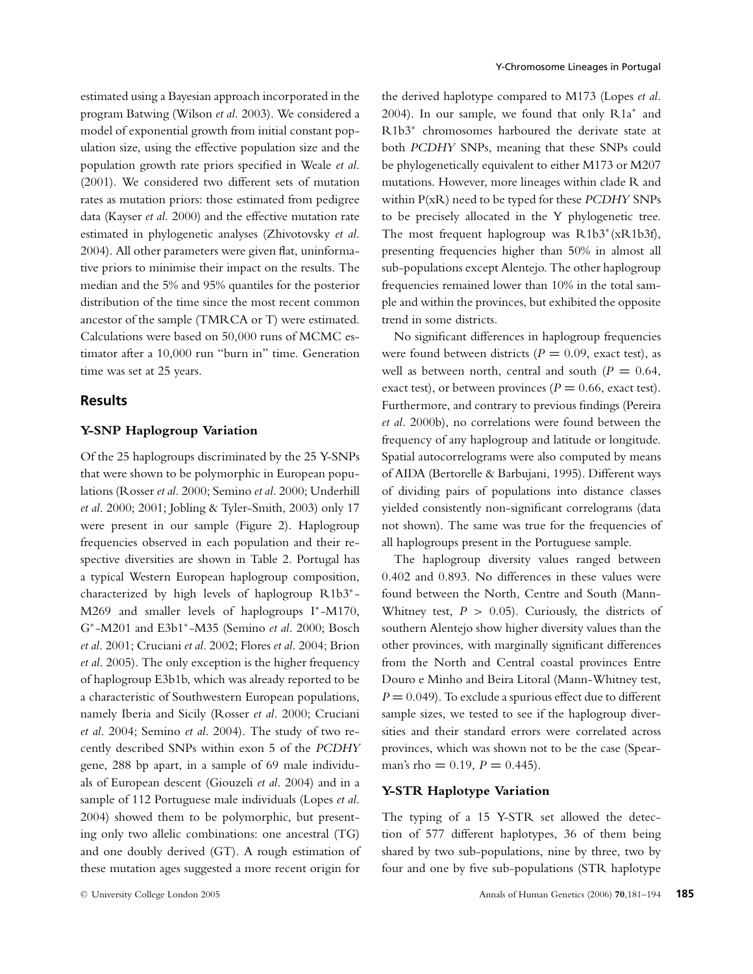estimated using a Bayesian approach incorporated in the program Batwing (Wilson *et al*. 2003). We considered a model of exponential growth from initial constant population size, using the effective population size and the population growth rate priors specified in Weale *et al*. (2001). We considered two different sets of mutation rates as mutation priors: those estimated from pedigree data (Kayser *et al*. 2000) and the effective mutation rate estimated in phylogenetic analyses (Zhivotovsky *et al*. 2004). All other parameters were given flat, uninformative priors to minimise their impact on the results. The median and the 5% and 95% quantiles for the posterior distribution of the time since the most recent common ancestor of the sample (TMRCA or T) were estimated. Calculations were based on 50,000 runs of MCMC estimator after a 10,000 run "burn in" time. Generation time was set at 25 years.

# **Results**

## **Y-SNP Haplogroup Variation**

Of the 25 haplogroups discriminated by the 25 Y-SNPs that were shown to be polymorphic in European populations (Rosser *et al*. 2000; Semino *et al*. 2000; Underhill *et al*. 2000; 2001; Jobling & Tyler-Smith, 2003) only 17 were present in our sample (Figure 2). Haplogroup frequencies observed in each population and their respective diversities are shown in Table 2. Portugal has a typical Western European haplogroup composition, characterized by high levels of haplogroup R1b3<sup>∗</sup> - M269 and smaller levels of haplogroups I<sup>∗</sup> -M170, G<sup>∗</sup> -M201 and E3b1<sup>∗</sup> -M35 (Semino *et al*. 2000; Bosch *et al*. 2001; Cruciani *et al*. 2002; Flores *et al*. 2004; Brion *et al*. 2005). The only exception is the higher frequency of haplogroup E3b1b, which was already reported to be a characteristic of Southwestern European populations, namely Iberia and Sicily (Rosser *et al*. 2000; Cruciani *et al*. 2004; Semino *et al*. 2004). The study of two recently described SNPs within exon 5 of the *PCDHY* gene, 288 bp apart, in a sample of 69 male individuals of European descent (Giouzeli *et al*. 2004) and in a sample of 112 Portuguese male individuals (Lopes *et al*. 2004) showed them to be polymorphic, but presenting only two allelic combinations: one ancestral (TG) and one doubly derived (GT). A rough estimation of these mutation ages suggested a more recent origin for the derived haplotype compared to M173 (Lopes *et al*. 2004). In our sample, we found that only R1a<sup>∗</sup> and R1b3<sup>∗</sup> chromosomes harboured the derivate state at both *PCDHY* SNPs, meaning that these SNPs could be phylogenetically equivalent to either M173 or M207 mutations. However, more lineages within clade R and within P(xR) need to be typed for these *PCDHY* SNPs to be precisely allocated in the Y phylogenetic tree. The most frequent haplogroup was R1b3<sup>∗</sup> (xR1b3f), presenting frequencies higher than 50% in almost all sub-populations except Alentejo. The other haplogroup frequencies remained lower than 10% in the total sample and within the provinces, but exhibited the opposite trend in some districts.

No significant differences in haplogroup frequencies were found between districts ( $P = 0.09$ , exact test), as well as between north, central and south ( $P = 0.64$ , exact test), or between provinces ( $P = 0.66$ , exact test). Furthermore, and contrary to previous findings (Pereira *et al*. 2000b), no correlations were found between the frequency of any haplogroup and latitude or longitude. Spatial autocorrelograms were also computed by means of AIDA (Bertorelle & Barbujani, 1995). Different ways of dividing pairs of populations into distance classes yielded consistently non-significant correlograms (data not shown). The same was true for the frequencies of all haplogroups present in the Portuguese sample.

The haplogroup diversity values ranged between 0.402 and 0.893. No differences in these values were found between the North, Centre and South (Mann-Whitney test,  $P > 0.05$ ). Curiously, the districts of southern Alentejo show higher diversity values than the other provinces, with marginally significant differences from the North and Central coastal provinces Entre Douro e Minho and Beira Litoral (Mann-Whitney test,  $P = 0.049$ . To exclude a spurious effect due to different sample sizes, we tested to see if the haplogroup diversities and their standard errors were correlated across provinces, which was shown not to be the case (Spearman's rho = 0.19,  $P = 0.445$ .

# **Y-STR Haplotype Variation**

The typing of a 15 Y-STR set allowed the detection of 577 different haplotypes, 36 of them being shared by two sub-populations, nine by three, two by four and one by five sub-populations (STR haplotype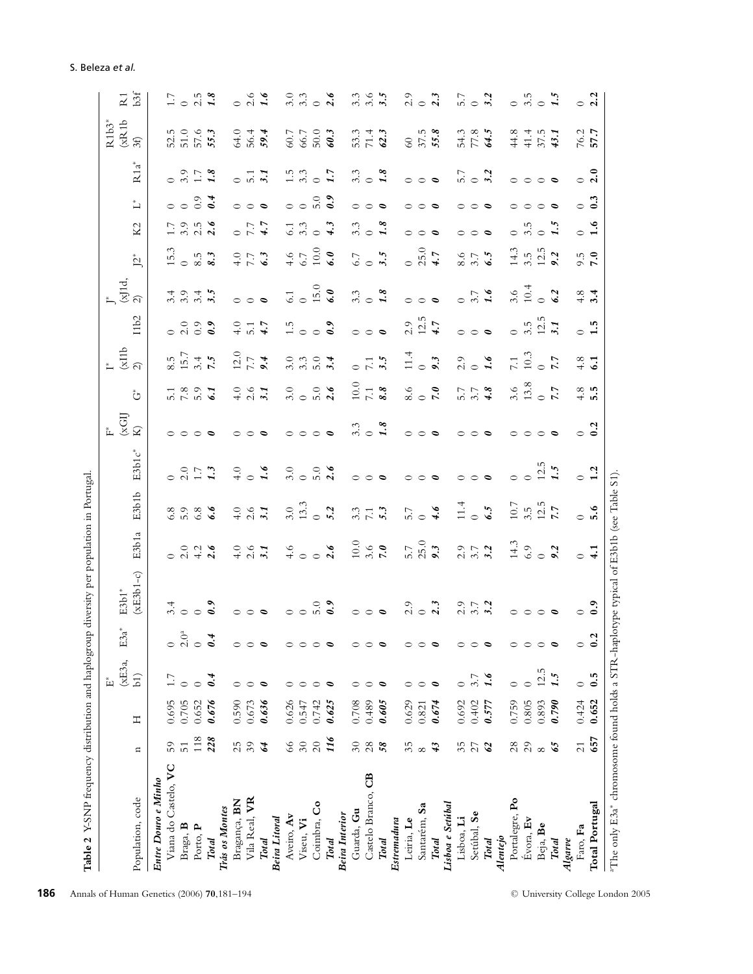| Table 2 Y-SNP frequency distribution and haplogroup diversity per population in Portugal. |                 |       |                            |                         |                                 |                                           |                                              |                             |                                                |                                                         |                          |                                 |                                                |                                                    |                                  |                          |                                           |                                      |                                 |
|-------------------------------------------------------------------------------------------|-----------------|-------|----------------------------|-------------------------|---------------------------------|-------------------------------------------|----------------------------------------------|-----------------------------|------------------------------------------------|---------------------------------------------------------|--------------------------|---------------------------------|------------------------------------------------|----------------------------------------------------|----------------------------------|--------------------------|-------------------------------------------|--------------------------------------|---------------------------------|
|                                                                                           |                 |       | $\stackrel{*}{\mathbb{H}}$ |                         |                                 |                                           |                                              |                             | $\stackrel{*}{\mathbb{L}}$                     |                                                         |                          |                                 |                                                |                                                    |                                  |                          |                                           | $R1b3*$                              |                                 |
|                                                                                           |                 |       | (xE3a,                     | $3a^*$<br>щ             | $E3b1*$                         |                                           |                                              |                             | $_{\rm K)}^{\rm (xGI)}$                        |                                                         |                          |                                 |                                                |                                                    |                                  |                          |                                           |                                      | $\Xi$                           |
| Population, code                                                                          | $\mathbf{u}$    | Ξ     | b1)                        |                         | $(xE3b1-c)$                     | E3b1a                                     | E3b1b                                        | E3b1c*                      |                                                | $\overset{*}{\circlearrowright}$                        | $(x11b)$<br>2)           | I1b <sub>2</sub>                | $\int_{(x)1d,}^{*}$ (xJ1d,                     | $\sum^*$                                           | K <sub>2</sub>                   | $\overset{*}{\sqcup}$    | $R1a^*$                                   | $\frac{\langle xR1b}{3f}$            | b3f                             |
| Entre Douro e Minho                                                                       |                 |       |                            |                         |                                 |                                           |                                              |                             |                                                |                                                         |                          |                                 |                                                |                                                    |                                  |                          |                                           |                                      |                                 |
| Viana do Castelo, VC                                                                      | 59              | 0.695 |                            |                         |                                 |                                           |                                              |                             |                                                |                                                         |                          |                                 |                                                | $\begin{array}{c} 15.3 \\ 0 \\ 8.5 \\ \end{array}$ |                                  |                          |                                           | $52.5$<br>$51.0$<br>$57.6$<br>$55.3$ |                                 |
| Braga, B                                                                                  | $\overline{5}$  | 0.705 |                            |                         |                                 |                                           |                                              |                             |                                                |                                                         |                          |                                 |                                                |                                                    |                                  |                          |                                           |                                      |                                 |
| Porto, P                                                                                  | 118             | 0.652 |                            | 0.034                   |                                 |                                           |                                              |                             | $\circ \circ \circ \circ$                      | $\frac{1}{2}$ $\frac{8}{2}$ $\frac{9}{2}$ $\frac{1}{2}$ |                          |                                 |                                                |                                                    | $1.7$<br>$3.9$<br>$2.6$<br>$2.6$ | 0.9                      |                                           |                                      |                                 |
| <b>Total</b>                                                                              | 228             | 0.676 | 0.4                        |                         | 3.4                             | 0.048                                     | 89986                                        | $0.077$<br>$0.73$           |                                                |                                                         | $8.5$<br>$15.7$<br>$7.5$ | 0.00000                         | $3.4$<br>$3.4$<br>$3.4$<br>$5.5$               |                                                    |                                  | 0.4                      |                                           |                                      | $\frac{1}{2}$ o $\frac{5}{1.8}$ |
| Trás os Montes                                                                            |                 |       |                            |                         |                                 |                                           |                                              |                             |                                                |                                                         |                          |                                 |                                                |                                                    |                                  |                          |                                           |                                      |                                 |
| Bragança, BN                                                                              | 25              | 0.590 | $\circ$                    |                         |                                 |                                           |                                              |                             |                                                | $\ddot{ }$                                              |                          | 4.0                             |                                                |                                                    |                                  |                          |                                           |                                      |                                 |
| Vila Real, VR                                                                             | $\mathfrak{S}6$ | 0.673 |                            | $\circ$ $\circ$         |                                 | $4.0$<br>2.6<br>3.1                       | $-3.5$<br>$-3.7$                             | $rac{1}{4}$ 0 $\frac{6}{1}$ | $\circ \circ \circ$                            |                                                         | $\frac{12.7}{7.3}$       | $5.1$<br>4.7                    | $\circ \circ \bullet$                          | $4.7$<br>$7.7$<br>$6.3$                            | $0,7,7$<br>4.7                   | $\circ$ $\circ$ $\circ$  | $0\frac{1}{5}$ . 3.1                      | $64.0$<br>56.4                       | 0.96                            |
| <b>Total</b>                                                                              | 64              | 0.636 |                            |                         |                                 |                                           |                                              |                             |                                                | 3.1                                                     |                          |                                 |                                                |                                                    |                                  |                          |                                           |                                      |                                 |
| <b>Beira Litoral</b>                                                                      |                 |       |                            |                         |                                 |                                           |                                              |                             |                                                |                                                         |                          |                                 |                                                |                                                    |                                  |                          |                                           |                                      |                                 |
| Aveiro, Av                                                                                | $66$            | 0.626 | $\circ$                    | $\circ$                 |                                 |                                           |                                              |                             |                                                |                                                         |                          |                                 |                                                |                                                    |                                  |                          |                                           |                                      |                                 |
| Viseu, Vi                                                                                 | $30\,$          | 0.547 | $\circ$                    | $\circ \circ \bullet$   | $\circ$ $\circ$ $\circ$ $\circ$ | $\begin{array}{c}\n4.6 \\ 0\n\end{array}$ | $3.0$<br>$13.3$<br>$5.2$                     |                             | $\circ \circ \circ \circ$                      | $3.0$<br>$0.0$<br>$2.6$                                 | 3.3004                   | $\frac{6}{1.5}$                 | $6.1$<br>$0.5.0$<br>$6.0$                      | $\begin{array}{c} 4.6 \\ 6.7 \end{array}$          | $6.1$<br>$3.3$                   | $\circ$ $\circ$ $\circ$  | $\begin{array}{c} 1.5 \\ 3.3 \end{array}$ | $60.7$<br>50.0<br>50.0<br>60.3       | 3.3000                          |
| Coimbra, Co                                                                               | $\gtrsim$       | 0.742 | $\circ$                    |                         |                                 |                                           |                                              |                             |                                                |                                                         |                          |                                 |                                                | 10.0                                               |                                  |                          |                                           |                                      |                                 |
| <b>Total</b>                                                                              | 116             | 0.625 | $\bullet$                  |                         |                                 |                                           |                                              |                             |                                                |                                                         |                          |                                 |                                                | 6.0                                                | 4.3                              | $\boldsymbol{\theta}$ .9 | 1.7                                       |                                      |                                 |
| <b>Beira Interior</b>                                                                     |                 |       |                            |                         |                                 |                                           |                                              |                             |                                                |                                                         |                          |                                 |                                                |                                                    |                                  |                          |                                           |                                      |                                 |
| Guarda, Gu                                                                                | $\Im 0$         | 0.708 | $\circ$                    |                         |                                 |                                           |                                              |                             |                                                |                                                         |                          |                                 |                                                |                                                    |                                  |                          |                                           |                                      |                                 |
| Castelo Branco, CB                                                                        | $28\,$          | 0.489 | $\circ$                    | $\circ$ $\circ$         | $\circ \circ \bullet$           | $10.0$<br>3.6<br>7.0                      | $3.3$<br>$7.1$<br>$5.3$                      | $\circ$ $\circ$ $\circ$     | $\begin{array}{c} 3.3 \\ 0 \\ 1.8 \end{array}$ | $\frac{10.0}{7.1}$                                      | $0 7.1$<br>$5.5$         | $\circ \circ \bullet$           | $\begin{array}{c} 3.3 \\ 0 \\ 1.8 \end{array}$ | $\frac{2}{3}$ .5                                   | $3.3$<br>$1.8$                   | $\circ$ $\circ$          | $3.3$<br>$1.8$                            | $53.3$<br>71.4<br>62.3               | $3.365$<br>$3.5$                |
| <b>Total</b>                                                                              | 58              | 0.605 | $\bullet$                  |                         |                                 |                                           |                                              |                             |                                                |                                                         |                          |                                 |                                                |                                                    |                                  | $\bullet$                |                                           |                                      |                                 |
| Estremadura                                                                               |                 |       |                            |                         |                                 |                                           |                                              |                             |                                                |                                                         |                          |                                 |                                                |                                                    |                                  |                          |                                           |                                      |                                 |
| Leiria, Le                                                                                | 35              | 0.629 | $\circ$                    |                         |                                 |                                           |                                              |                             |                                                |                                                         | $\frac{11.4}{9.3}$       |                                 |                                                |                                                    |                                  |                          |                                           |                                      |                                 |
| Santarém, Sa                                                                              | $\infty$        | 0.821 | $\circ$                    | $\circ\,\circ\,\bullet$ |                                 |                                           |                                              | $\circ$ $\circ$ $\circ$     | $\circ$ $\circ$                                |                                                         |                          |                                 | $\circ \circ \bullet$                          | $\frac{25.0}{4.7}$                                 | $\circ \circ \bullet$            | $\circ$ $\circ$          | $\circ \circ \bullet$                     |                                      |                                 |
| <b>Total</b>                                                                              | 43              | 0.674 | $\bullet$                  |                         | $2.9$<br>$2.3$                  | $5.7$<br>25.0<br>9.3                      | $\frac{2}{10}$ 0 4.6                         |                             |                                                | $0.6$<br>0.8                                            |                          | $\frac{2.9}{12.5}$              |                                                |                                                    |                                  |                          |                                           | $60$<br>$37.5$<br>$55.8$             | $2.9$<br>$2.3$                  |
| Lisboa e Setúbal                                                                          |                 |       |                            |                         |                                 |                                           |                                              |                             |                                                |                                                         |                          |                                 |                                                |                                                    |                                  |                          |                                           |                                      |                                 |
| Lisboa, Li                                                                                | 35              | 0.692 | $\circ$                    |                         |                                 |                                           |                                              | $\circ \circ \circ$         |                                                |                                                         |                          | $\circ \circ \bullet$           |                                                |                                                    |                                  |                          | $5.7$<br>$-3.2$                           |                                      |                                 |
| Setúbal, Se                                                                               | 27              | 0.402 | 3.7                        | $\circ\,\circ\,\bullet$ |                                 |                                           |                                              |                             | $\circ \circ \bullet$                          |                                                         |                          |                                 |                                                |                                                    | $\circ$ $\circ$ $\circ$          | $\circ\,\circ\,\circ$    |                                           |                                      |                                 |
| <b>Total</b>                                                                              | 62              | 0.577 | $\ddot{J}$                 |                         | $2.5$<br>$3.7$<br>$3.2$         | $2.9$<br>$3.7$<br>$3.2$                   | $\frac{11.4}{6.5}$                           |                             |                                                | $5.7$<br>3.7<br>4.8                                     | $2.9$<br>$1.6$           |                                 | $0.7$<br>$7.7$<br>$1.6$                        | $6.58$<br>$6.76$                                   |                                  |                          |                                           | $54.3$<br>77.8<br>64.5               | $5.7$<br>$3.2$                  |
| Alentejo                                                                                  |                 |       |                            |                         |                                 |                                           |                                              |                             |                                                |                                                         |                          |                                 |                                                |                                                    |                                  |                          |                                           |                                      |                                 |
| Portalegre, Po                                                                            | 28              | 0.759 | $\circ$                    | $\circ$                 |                                 | 14.3                                      | $10.7\,$                                     | $\circ$                     |                                                |                                                         |                          | $\circ$                         |                                                |                                                    |                                  |                          |                                           |                                      |                                 |
| Évora, Ev                                                                                 | 29              | 0.805 |                            | $\circ$ $\circ$ $\circ$ | $\circ \circ \circ \circ$       | $6.9$<br>9.2                              | $3.\overline{5}$<br>$12.\overline{5}$<br>7.7 |                             | $\circ$ $\circ$ $\circ$                        | $3.6$<br>$13.8$<br>$7.7$                                | $7.1$<br>$0.3$<br>$7.7$  | $3.\overline{5}$<br>12.5<br>3.1 | $3.6$<br>0.4<br>6.2                            | $14.3$<br>$3.5$<br>$12.5$<br>$9.2$                 | $0.5$<br>$0.5$<br>$1.5$          |                          | $\circ \circ \circ \circ$                 | $44.8$<br>$41.4$<br>$37.5$<br>$43.1$ | 0.50015                         |
| Beja, Be                                                                                  | $\infty$        | 0.893 | 12.5                       |                         |                                 |                                           |                                              |                             |                                                |                                                         |                          |                                 |                                                |                                                    |                                  |                          |                                           |                                      |                                 |
| Total                                                                                     | 65              | 0.790 | 1.5                        |                         |                                 |                                           |                                              | $12.5$<br>1.5               |                                                |                                                         |                          |                                 |                                                |                                                    |                                  |                          |                                           |                                      |                                 |
| Algarve                                                                                   |                 |       |                            |                         |                                 |                                           |                                              |                             |                                                |                                                         |                          |                                 |                                                |                                                    |                                  |                          |                                           |                                      |                                 |
| Faro, Fa                                                                                  | $\overline{21}$ | 0.424 | $\circ$                    | $\frac{3}{2}$           |                                 | $\overline{a}$                            | 0.6                                          | $\frac{1}{2}$               | $\frac{3}{2}$                                  | $4.8$<br>5.5                                            | $4.8$<br><b>6.1</b>      | $\frac{1.5}{1}$                 | 4.8                                            | $9.5$<br>7.0                                       | $\frac{3}{1.6}$                  | $\frac{0}{0}$ .3         | $\circ$ $\frac{1}{2}$                     | $76.2$<br>57.7                       | $\circ$ $\frac{3}{2}$           |
| <b>Total Portugal</b>                                                                     | 657             | 0.652 | 0.5                        |                         | $\ddot{0}$ .                    |                                           |                                              |                             |                                                |                                                         |                          |                                 |                                                |                                                    |                                  |                          |                                           |                                      |                                 |
| "The only E3a* chromosome found holds a STR-haplotype typical of E3b1b (see Table S1).    |                 |       |                            |                         |                                 |                                           |                                              |                             |                                                |                                                         |                          |                                 |                                                |                                                    |                                  |                          |                                           |                                      |                                 |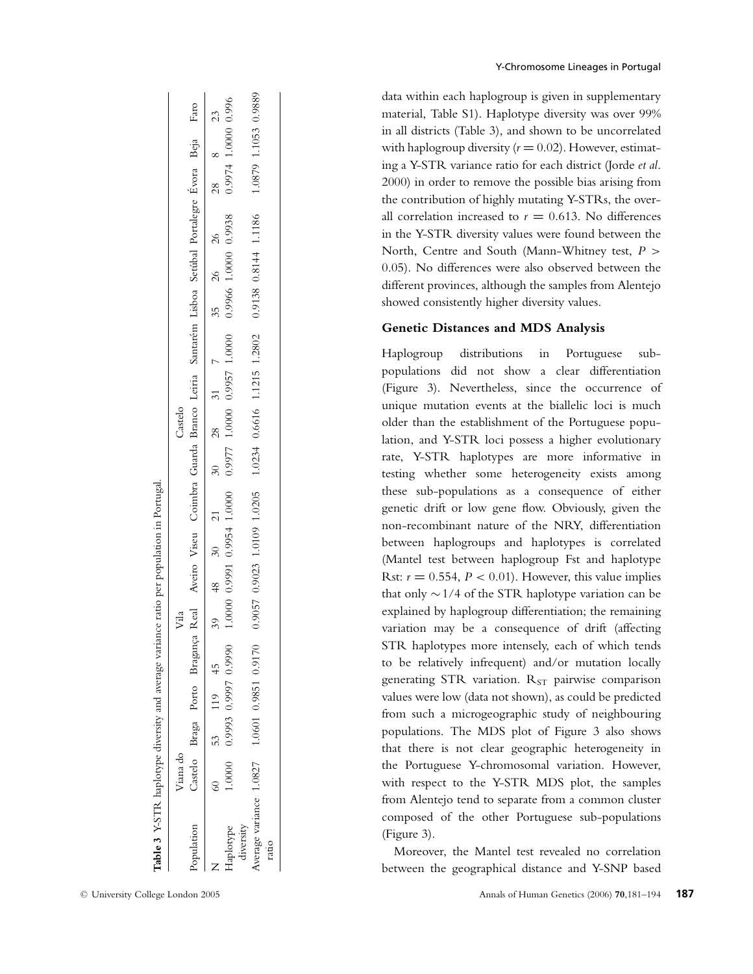| opulation                                            | Viana do |                                 | Castelo Braga Porto Bragança Real Aveiro Viseu Coimbra Guarda Branco Leiria Santarém Lisboa Setúbal Portalegre Évora Beja Faro | Vila                |  |                                                                                                       | Castelo |                       |          |                                                                                                                                                 |                                 |    |
|------------------------------------------------------|----------|---------------------------------|--------------------------------------------------------------------------------------------------------------------------------|---------------------|--|-------------------------------------------------------------------------------------------------------|---------|-----------------------|----------|-------------------------------------------------------------------------------------------------------------------------------------------------|---------------------------------|----|
| diversity<br>.taplotype                              | .0000    | 0.993 0.997 0.9990<br>53 119 45 |                                                                                                                                | $39 \t48 \t30 \t21$ |  | 88,666.0 0000.1 2966.0 0000.1 2566.0 0000.1 2266.0 0000.1 4566.0 1666.0 0000.1 4566.0 1666.0 1666.0 1 |         | $30 \t 38 \t 31 \t 7$ | 35 26 26 |                                                                                                                                                 | 0.9974 1.0000 0.996<br>$28$ $8$ | 23 |
| werage variance 1.0827 1.0601 0.9851 0.9170<br>ratio |          |                                 |                                                                                                                                |                     |  |                                                                                                       |         |                       |          | $0.9057$ $0.0202$ $1.0109$ $1.0205$ $1.0215$ $1.215$ $1.215$ $1.215$ $1.215$ $1.215$ $1.215$ $1.203$ $0.809$ $0.989$ $0.0105$ $1.0053$ $0.9889$ |                                 |    |

data within each haplogroup is given in supplementary material, Table S1). Haplotype diversity was over 99% in all districts (Table 3), and shown to be uncorrelated with haplogroup diversity  $(r = 0.02)$ . However, estimating a Y-STR variance ratio for each district (Jorde *et al*. 2000) in order to remove the possible bias arising from the contribution of highly mutating Y-STRs, the overall correlation increased to  $r = 0.613$ . No differences in the Y-STR diversity values were found between the North, Centre and South (Mann-Whitney test, *P* > 0.05). No differences were also observed between the different provinces, although the samples from Alentejo showed consistently higher diversity values.

### **Genetic Distances and MDS Analysis**

Haplogroup distributions in Portuguese subpopulations did not show a clear differentiation (Figure 3). Nevertheless, since the occurrence of unique mutation events at the biallelic loci is much older than the establishment of the Portuguese population, and Y-STR loci possess a higher evolutionary rate, Y-STR haplotypes are more informative in testing whether some heterogeneity exists among these sub-populations as a consequence of either genetic drift or low gene flow. Obviously, given the non-recombinant nature of the NRY, differentiation between haplogroups and haplotypes is correlated (Mantel test between haplogroup Fst and haplotype Rst:  $r = 0.554$ ,  $P < 0.01$ ). However, this value implies that only ∼1/4 of the STR haplotype variation can be explained by haplogroup differentiation; the remaining variation may be a consequence of drift (affecting STR haplotypes more intensely, each of which tends to be relatively infrequent) and/or mutation locally generating STR variation.  $R_{ST}$  pairwise comparison values were low (data not shown), as could be predicted from such a microgeographic study of neighbouring populations. The MDS plot of Figure 3 also shows that there is not clear geographic heterogeneity in the Portuguese Y-chromosomal variation. However, with respect to the Y-STR MDS plot, the samples from Alentejo tend to separate from a common cluster composed of the other Portuguese sub-populations (Figure 3).

Moreover, the Mantel test revealed no correlation between the geographical distance and Y-SNP based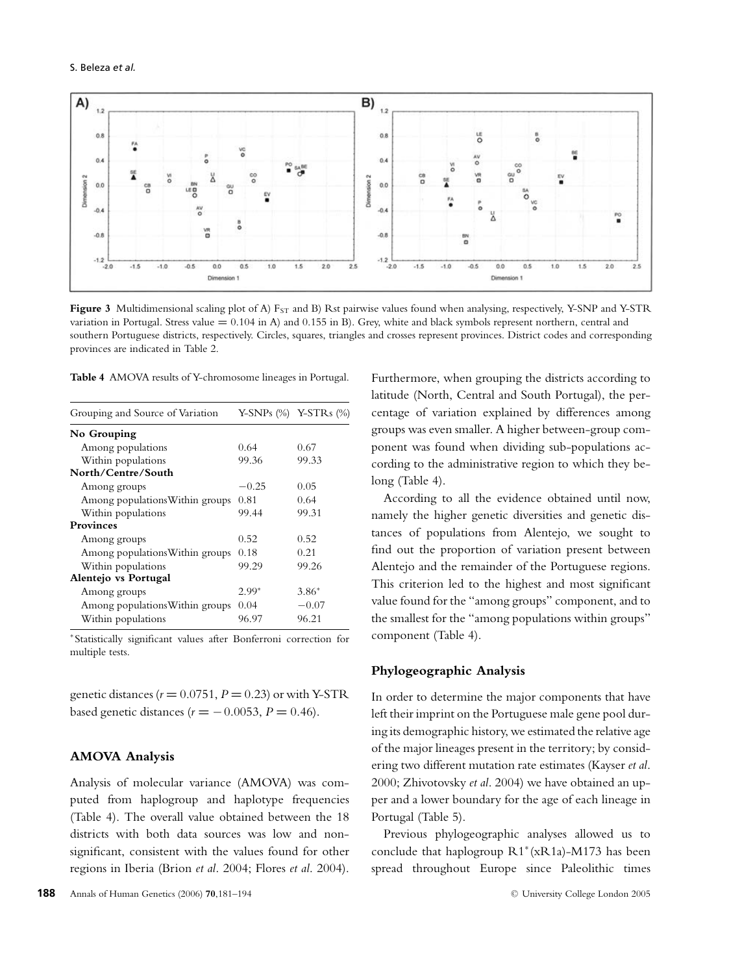

Figure 3 Multidimensional scaling plot of A) F<sub>ST</sub> and B) Rst pairwise values found when analysing, respectively, Y-SNP and Y-STR variation in Portugal. Stress value **=** 0.104 in A) and 0.155 in B). Grey, white and black symbols represent northern, central and southern Portuguese districts, respectively. Circles, squares, triangles and crosses represent provinces. District codes and corresponding provinces are indicated in Table 2.

**Table 4** AMOVA results of Y-chromosome lineages in Portugal.

| Grouping and Source of Variation |         | Y-SNPs $(\%)$ Y-STRs $(\%)$ |
|----------------------------------|---------|-----------------------------|
| No Grouping                      |         |                             |
| Among populations                | 0.64    | 0.67                        |
| Within populations               | 99.36   | 99.33                       |
| North/Centre/South               |         |                             |
| Among groups                     | $-0.25$ | 0.05                        |
| Among populations Within groups  | 0.81    | 0.64                        |
| Within populations               | 99.44   | 99.31                       |
| <b>Provinces</b>                 |         |                             |
| Among groups                     | 0.52    | 0.52                        |
| Among populations Within groups  | 0.18    | 0.21                        |
| Within populations               | 99.29   | 99.26                       |
| Alentejo vs Portugal             |         |                             |
| Among groups                     | $2.99*$ | $3.86*$                     |
| Among populations Within groups  | 0.04    | $-0.07$                     |
| Within populations               | 96.97   | 96.21                       |

<sup>∗</sup> Statistically significant values after Bonferroni correction for multiple tests.

genetic distances ( $r = 0.0751$ ,  $P = 0.23$ ) or with Y-STR based genetic distances ( $r = -0.0053$ ,  $P = 0.46$ ).

# **AMOVA Analysis**

Analysis of molecular variance (AMOVA) was computed from haplogroup and haplotype frequencies (Table 4). The overall value obtained between the 18 districts with both data sources was low and nonsignificant, consistent with the values found for other regions in Iberia (Brion *et al*. 2004; Flores *et al*. 2004). Furthermore, when grouping the districts according to latitude (North, Central and South Portugal), the percentage of variation explained by differences among groups was even smaller. A higher between-group component was found when dividing sub-populations according to the administrative region to which they belong (Table 4).

According to all the evidence obtained until now, namely the higher genetic diversities and genetic distances of populations from Alentejo, we sought to find out the proportion of variation present between Alentejo and the remainder of the Portuguese regions. This criterion led to the highest and most significant value found for the "among groups" component, and to the smallest for the "among populations within groups" component (Table 4).

#### **Phylogeographic Analysis**

In order to determine the major components that have left their imprint on the Portuguese male gene pool during its demographic history, we estimated the relative age of the major lineages present in the territory; by considering two different mutation rate estimates (Kayser *et al*. 2000; Zhivotovsky *et al*. 2004) we have obtained an upper and a lower boundary for the age of each lineage in Portugal (Table 5).

Previous phylogeographic analyses allowed us to conclude that haplogroup R1<sup>∗</sup> (xR1a)-M173 has been spread throughout Europe since Paleolithic times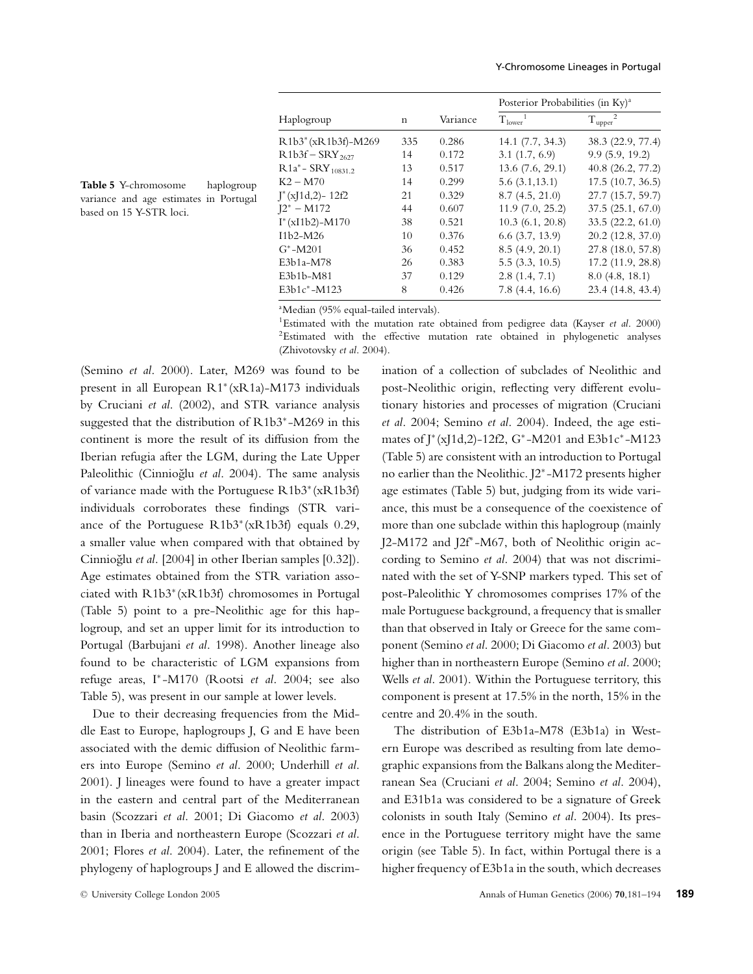|                        |             |          | Posterior Probabilities (in Ky) <sup>a</sup> |                   |
|------------------------|-------------|----------|----------------------------------------------|-------------------|
| Haplogroup             | $\mathbf n$ | Variance | $T_{\text{lower}}^1$                         | $T_{upper}^2$     |
| R1b3*(xR1b3f)-M269     | 335         | 0.286    | 14.1 (7.7, 34.3)                             | 38.3 (22.9, 77.4) |
| $R1b3f - SRY_{2627}$   | 14          | 0.172    | 3.1(1.7, 6.9)                                | 9.9(5.9, 19.2)    |
| $R1a^* - SRY_{108312}$ | 13          | 0.517    | 13.6(7.6, 29.1)                              | 40.8(26.2, 77.2)  |
| $K2 - M70$             | 14          | 0.299    | 5.6(3.1, 13.1)                               | 17.5(10.7, 36.5)  |
| $J^*(x1d,2)$ - 12f2    | 21          | 0.329    | 8.7(4.5, 21.0)                               | 27.7(15.7, 59.7)  |
| $I2^* - M172$          | 44          | 0.607    | 11.9(7.0, 25.2)                              | 37.5(25.1, 67.0)  |
| $I^*(xI1b2) - M170$    | 38          | 0.521    | 10.3(6.1, 20.8)                              | 33.5(22.2, 61.0)  |
| $I1b2-M26$             | 10          | 0.376    | 6.6(3.7, 13.9)                               | 20.2(12.8, 37.0)  |
| $G^* - M201$           | 36          | 0.452    | 8.5(4.9, 20.1)                               | 27.8 (18.0, 57.8) |
| $E3b1a-M78$            | 26          | 0.383    | 5.5(3.3, 10.5)                               | 17.2 (11.9, 28.8) |
| E3b1b-M81              | 37          | 0.129    | 2.8(1.4, 7.1)                                | 8.0(4.8, 18.1)    |
| $E3b1c^* - M123$       | 8           | 0.426    | 7.8(4.4, 16.6)                               | 23.4 (14.8, 43.4) |

a Median (95% equal-tailed intervals).

1Estimated with the mutation rate obtained from pedigree data (Kayser *et al*. 2000) 2Estimated with the effective mutation rate obtained in phylogenetic analyses (Zhivotovsky *et al*. 2004).

(Semino *et al*. 2000). Later, M269 was found to be present in all European R1<sup>∗</sup> (xR1a)-M173 individuals by Cruciani *et al*. (2002), and STR variance analysis suggested that the distribution of R1b3<sup>∗</sup>-M269 in this continent is more the result of its diffusion from the Iberian refugia after the LGM, during the Late Upper Paleolithic (Cinnioğlu et al. 2004). The same analysis of variance made with the Portuguese R1b3<sup>∗</sup> (xR1b3f) individuals corroborates these findings (STR variance of the Portuguese R1b3<sup>∗</sup> (xR1b3f) equals 0.29, a smaller value when compared with that obtained by Cinnioğlu et al. [2004] in other Iberian samples [0.32]). Age estimates obtained from the STR variation associated with R1b3<sup>∗</sup> (xR1b3f) chromosomes in Portugal (Table 5) point to a pre-Neolithic age for this haplogroup, and set an upper limit for its introduction to Portugal (Barbujani *et al*. 1998). Another lineage also found to be characteristic of LGM expansions from refuge areas, I<sup>∗</sup> -M170 (Rootsi *et al*. 2004; see also Table 5), was present in our sample at lower levels.

**Table 5** Y-chromosome haplogroup variance and age estimates in Portugal

based on 15 Y-STR loci.

Due to their decreasing frequencies from the Middle East to Europe, haplogroups J, G and E have been associated with the demic diffusion of Neolithic farmers into Europe (Semino *et al*. 2000; Underhill *et al*. 2001). J lineages were found to have a greater impact in the eastern and central part of the Mediterranean basin (Scozzari *et al*. 2001; Di Giacomo *et al*. 2003) than in Iberia and northeastern Europe (Scozzari *et al*. 2001; Flores *et al*. 2004). Later, the refinement of the phylogeny of haplogroups J and E allowed the discrimination of a collection of subclades of Neolithic and post-Neolithic origin, reflecting very different evolutionary histories and processes of migration (Cruciani *et al*. 2004; Semino *et al*. 2004). Indeed, the age estimates of J<sup>∗</sup> (xJ1d,2)-12f2, G<sup>∗</sup> -M201 and E3b1c<sup>∗</sup> -M123 (Table 5) are consistent with an introduction to Portugal no earlier than the Neolithic. J2<sup>∗</sup> -M172 presents higher age estimates (Table 5) but, judging from its wide variance, this must be a consequence of the coexistence of more than one subclade within this haplogroup (mainly J2-M172 and J2f<sup>∗</sup> -M67, both of Neolithic origin according to Semino *et al*. 2004) that was not discriminated with the set of Y-SNP markers typed. This set of post-Paleolithic Y chromosomes comprises 17% of the male Portuguese background, a frequency that is smaller than that observed in Italy or Greece for the same component (Semino *et al*. 2000; Di Giacomo *et al*. 2003) but higher than in northeastern Europe (Semino *et al*. 2000; Wells *et al*. 2001). Within the Portuguese territory, this component is present at 17.5% in the north, 15% in the centre and 20.4% in the south.

The distribution of E3b1a-M78 (E3b1a) in Western Europe was described as resulting from late demographic expansions from the Balkans along the Mediterranean Sea (Cruciani *et al*. 2004; Semino *et al*. 2004), and E31b1a was considered to be a signature of Greek colonists in south Italy (Semino *et al*. 2004). Its presence in the Portuguese territory might have the same origin (see Table 5). In fact, within Portugal there is a higher frequency of E3b1a in the south, which decreases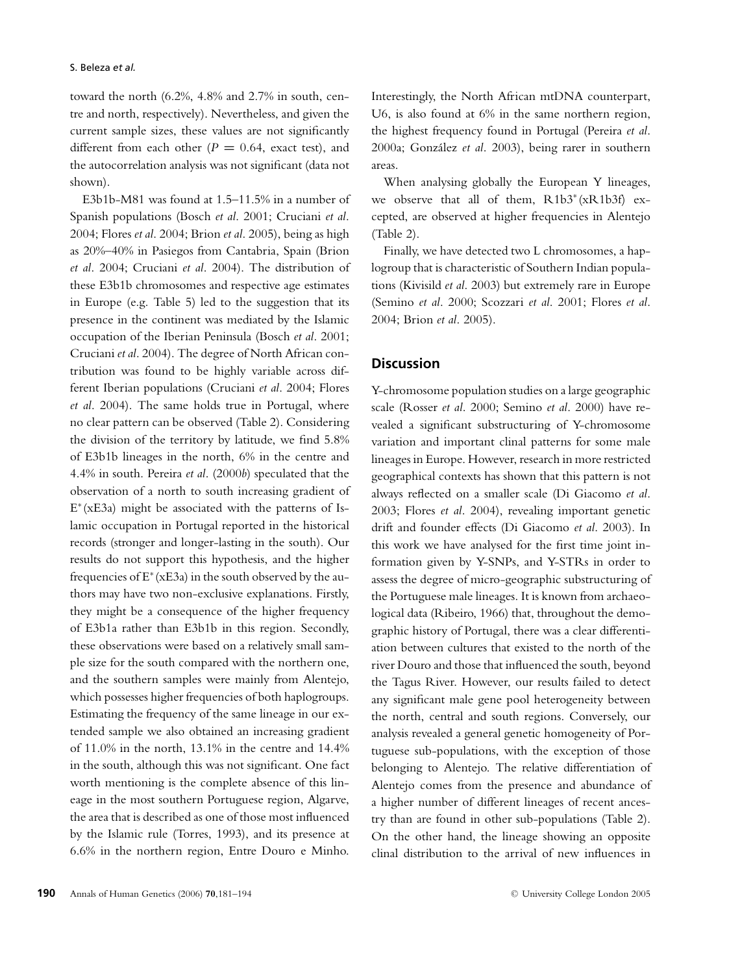toward the north (6.2%, 4.8% and 2.7% in south, centre and north, respectively). Nevertheless, and given the current sample sizes, these values are not significantly different from each other  $(P = 0.64$ , exact test), and the autocorrelation analysis was not significant (data not shown).

E3b1b-M81 was found at 1.5–11.5% in a number of Spanish populations (Bosch *et al*. 2001; Cruciani *et al*. 2004; Flores *et al*. 2004; Brion *et al*. 2005), being as high as 20%–40% in Pasiegos from Cantabria, Spain (Brion *et al*. 2004; Cruciani *et al*. 2004). The distribution of these E3b1b chromosomes and respective age estimates in Europe (e.g. Table 5) led to the suggestion that its presence in the continent was mediated by the Islamic occupation of the Iberian Peninsula (Bosch *et al*. 2001; Cruciani *et al*. 2004). The degree of North African contribution was found to be highly variable across different Iberian populations (Cruciani *et al*. 2004; Flores *et al*. 2004). The same holds true in Portugal, where no clear pattern can be observed (Table 2). Considering the division of the territory by latitude, we find 5.8% of E3b1b lineages in the north, 6% in the centre and 4.4% in south. Pereira *et al*. (2000*b*) speculated that the observation of a north to south increasing gradient of E<sup>∗</sup> (xE3a) might be associated with the patterns of Islamic occupation in Portugal reported in the historical records (stronger and longer-lasting in the south). Our results do not support this hypothesis, and the higher frequencies of  $E^*(xE3a)$  in the south observed by the authors may have two non-exclusive explanations. Firstly, they might be a consequence of the higher frequency of E3b1a rather than E3b1b in this region. Secondly, these observations were based on a relatively small sample size for the south compared with the northern one, and the southern samples were mainly from Alentejo, which possesses higher frequencies of both haplogroups. Estimating the frequency of the same lineage in our extended sample we also obtained an increasing gradient of 11.0% in the north, 13.1% in the centre and 14.4% in the south, although this was not significant. One fact worth mentioning is the complete absence of this lineage in the most southern Portuguese region, Algarve, the area that is described as one of those most influenced by the Islamic rule (Torres, 1993), and its presence at 6.6% in the northern region, Entre Douro e Minho.

Interestingly, the North African mtDNA counterpart, U6, is also found at 6% in the same northern region, the highest frequency found in Portugal (Pereira *et al*. 2000a; González et al. 2003), being rarer in southern areas.

When analysing globally the European Y lineages, we observe that all of them, R1b3<sup>∗</sup> (xR1b3f) excepted, are observed at higher frequencies in Alentejo (Table 2).

Finally, we have detected two L chromosomes, a haplogroup that is characteristic of Southern Indian populations (Kivisild *et al*. 2003) but extremely rare in Europe (Semino *et al*. 2000; Scozzari *et al*. 2001; Flores *et al*. 2004; Brion *et al*. 2005).

# **Discussion**

Y-chromosome population studies on a large geographic scale (Rosser *et al*. 2000; Semino *et al*. 2000) have revealed a significant substructuring of Y-chromosome variation and important clinal patterns for some male lineages in Europe. However, research in more restricted geographical contexts has shown that this pattern is not always reflected on a smaller scale (Di Giacomo *et al*. 2003; Flores *et al*. 2004), revealing important genetic drift and founder effects (Di Giacomo *et al*. 2003). In this work we have analysed for the first time joint information given by Y-SNPs, and Y-STRs in order to assess the degree of micro-geographic substructuring of the Portuguese male lineages. It is known from archaeological data (Ribeiro, 1966) that, throughout the demographic history of Portugal, there was a clear differentiation between cultures that existed to the north of the river Douro and those that influenced the south, beyond the Tagus River. However, our results failed to detect any significant male gene pool heterogeneity between the north, central and south regions. Conversely, our analysis revealed a general genetic homogeneity of Portuguese sub-populations, with the exception of those belonging to Alentejo. The relative differentiation of Alentejo comes from the presence and abundance of a higher number of different lineages of recent ancestry than are found in other sub-populations (Table 2). On the other hand, the lineage showing an opposite clinal distribution to the arrival of new influences in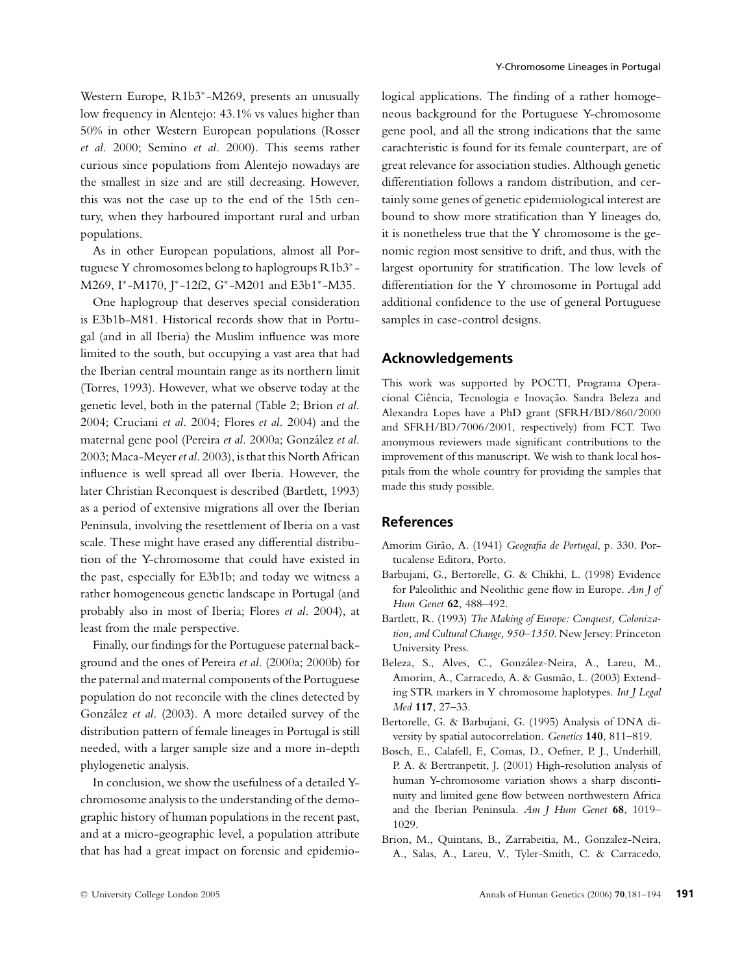Western Europe, R1b3<sup>∗</sup> -M269, presents an unusually low frequency in Alentejo: 43.1% vs values higher than 50% in other Western European populations (Rosser *et al*. 2000; Semino *et al*. 2000). This seems rather curious since populations from Alentejo nowadays are the smallest in size and are still decreasing. However, this was not the case up to the end of the 15th century, when they harboured important rural and urban populations.

As in other European populations, almost all Portuguese Y chromosomes belong to haplogroups R1b3<sup>∗</sup> - M269, I<sup>\*</sup>-M170, J<sup>\*</sup>-12f2, G<sup>\*</sup>-M201 and E3b1<sup>\*</sup>-M35.

One haplogroup that deserves special consideration is E3b1b-M81. Historical records show that in Portugal (and in all Iberia) the Muslim influence was more limited to the south, but occupying a vast area that had the Iberian central mountain range as its northern limit (Torres, 1993). However, what we observe today at the genetic level, both in the paternal (Table 2; Brion *et al*. 2004; Cruciani *et al*. 2004; Flores *et al*. 2004) and the maternal gene pool (Pereira et al. 2000a; González et al. 2003; Maca-Meyer*et al*. 2003), is that this North African influence is well spread all over Iberia. However, the later Christian Reconquest is described (Bartlett, 1993) as a period of extensive migrations all over the Iberian Peninsula, involving the resettlement of Iberia on a vast scale. These might have erased any differential distribution of the Y-chromosome that could have existed in the past, especially for E3b1b; and today we witness a rather homogeneous genetic landscape in Portugal (and probably also in most of Iberia; Flores *et al*. 2004), at least from the male perspective.

Finally, our findings for the Portuguese paternal background and the ones of Pereira *et al*. (2000a; 2000b) for the paternal and maternal components of the Portuguese population do not reconcile with the clines detected by González et al. (2003). A more detailed survey of the distribution pattern of female lineages in Portugal is still needed, with a larger sample size and a more in-depth phylogenetic analysis.

In conclusion, we show the usefulness of a detailed Ychromosome analysis to the understanding of the demographic history of human populations in the recent past, and at a micro-geographic level, a population attribute that has had a great impact on forensic and epidemiological applications. The finding of a rather homogeneous background for the Portuguese Y-chromosome gene pool, and all the strong indications that the same carachteristic is found for its female counterpart, are of great relevance for association studies. Although genetic differentiation follows a random distribution, and certainly some genes of genetic epidemiological interest are bound to show more stratification than Y lineages do, it is nonetheless true that the Y chromosome is the genomic region most sensitive to drift, and thus, with the largest oportunity for stratification. The low levels of differentiation for the Y chromosome in Portugal add additional confidence to the use of general Portuguese samples in case-control designs.

# **Acknowledgements**

This work was supported by POCTI, Programa Operacional Ciência, Tecnologia e Inovação. Sandra Beleza and Alexandra Lopes have a PhD grant (SFRH/BD/860/2000 and SFRH/BD/7006/2001, respectively) from FCT. Two anonymous reviewers made significant contributions to the improvement of this manuscript. We wish to thank local hospitals from the whole country for providing the samples that made this study possible.

## **References**

- Amorim Girao, A. (1941) ˜ *Geografia de Portugal*, p. 330. Portucalense Editora, Porto.
- Barbujani, G., Bertorelle, G. & Chikhi, L. (1998) Evidence for Paleolithic and Neolithic gene flow in Europe. *Am J of Hum Genet* **62**, 488–492.
- Bartlett, R. (1993) *The Making of Europe: Conquest, Colonization, and Cultural Change, 950–1350*. New Jersey: Princeton University Press.
- Beleza, S., Alves, C., Gonzalez-Neira, A., Lareu, M., ´ Amorim, A., Carracedo, A. & Gusmão, L. (2003) Extending STR markers in Y chromosome haplotypes. *Int J Legal Med* **117**, 27–33.
- Bertorelle, G. & Barbujani, G. (1995) Analysis of DNA diversity by spatial autocorrelation. *Genetics* **140**, 811–819.
- Bosch, E., Calafell, F., Comas, D., Oefner, P. J., Underhill, P. A. & Bertranpetit, J. (2001) High-resolution analysis of human Y-chromosome variation shows a sharp discontinuity and limited gene flow between northwestern Africa and the Iberian Peninsula. *Am J Hum Genet* **68**, 1019– 1029.
- Brion, M., Quintans, B., Zarrabeitia, M., Gonzalez-Neira, A., Salas, A., Lareu, V., Tyler-Smith, C. & Carracedo,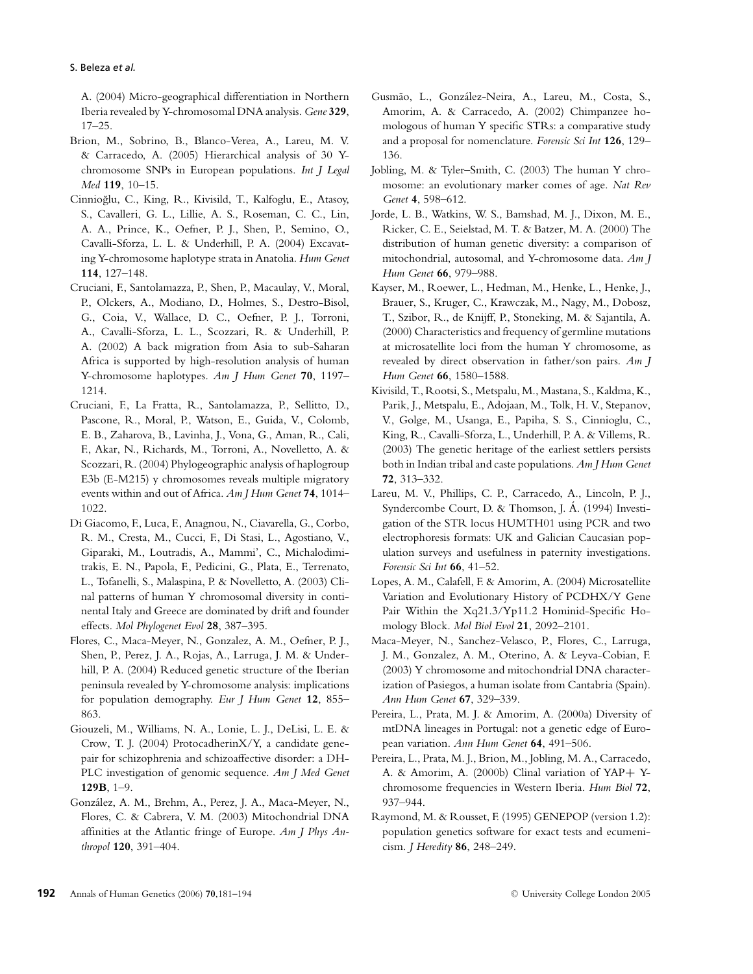A. (2004) Micro-geographical differentiation in Northern Iberia revealed by Y-chromosomal DNA analysis. *Gene* **329**, 17–25.

- Brion, M., Sobrino, B., Blanco-Verea, A., Lareu, M. V. & Carracedo, A. (2005) Hierarchical analysis of 30 Ychromosome SNPs in European populations. *Int J Legal Med* **119**, 10–15.
- Cinnioğlu, C., King, R., Kivisild, T., Kalfoglu, E., Atasoy, S., Cavalleri, G. L., Lillie, A. S., Roseman, C. C., Lin, A. A., Prince, K., Oefner, P. J., Shen, P., Semino, O., Cavalli-Sforza, L. L. & Underhill, P. A. (2004) Excavating Y-chromosome haplotype strata in Anatolia. *Hum Genet* **114**, 127–148.
- Cruciani, F., Santolamazza, P., Shen, P., Macaulay, V., Moral, P., Olckers, A., Modiano, D., Holmes, S., Destro-Bisol, G., Coia, V., Wallace, D. C., Oefner, P. J., Torroni, A., Cavalli-Sforza, L. L., Scozzari, R. & Underhill, P. A. (2002) A back migration from Asia to sub-Saharan Africa is supported by high-resolution analysis of human Y-chromosome haplotypes. *Am J Hum Genet* **70**, 1197– 1214.
- Cruciani, F., La Fratta, R., Santolamazza, P., Sellitto, D., Pascone, R., Moral, P., Watson, E., Guida, V., Colomb, E. B., Zaharova, B., Lavinha, J., Vona, G., Aman, R., Cali, F., Akar, N., Richards, M., Torroni, A., Novelletto, A. & Scozzari, R. (2004) Phylogeographic analysis of haplogroup E3b (E-M215) y chromosomes reveals multiple migratory events within and out of Africa. *Am J Hum Genet* **74**, 1014– 1022.
- Di Giacomo, F., Luca, F., Anagnou, N., Ciavarella, G., Corbo, R. M., Cresta, M., Cucci, F., Di Stasi, L., Agostiano, V., Giparaki, M., Loutradis, A., Mammi', C., Michalodimitrakis, E. N., Papola, F., Pedicini, G., Plata, E., Terrenato, L., Tofanelli, S., Malaspina, P. & Novelletto, A. (2003) Clinal patterns of human Y chromosomal diversity in continental Italy and Greece are dominated by drift and founder effects. *Mol Phylogenet Evol* **28**, 387–395.
- Flores, C., Maca-Meyer, N., Gonzalez, A. M., Oefner, P. J., Shen, P., Perez, J. A., Rojas, A., Larruga, J. M. & Underhill, P. A. (2004) Reduced genetic structure of the Iberian peninsula revealed by Y-chromosome analysis: implications for population demography. *Eur J Hum Genet* **12**, 855– 863.
- Giouzeli, M., Williams, N. A., Lonie, L. J., DeLisi, L. E. & Crow, T. J. (2004) ProtocadherinX/Y, a candidate genepair for schizophrenia and schizoaffective disorder: a DH-PLC investigation of genomic sequence. *Am J Med Genet* **129B**, 1–9.
- Gonzalez, A. M., Brehm, A., Perez, J. A., Maca-Meyer, N., ´ Flores, C. & Cabrera, V. M. (2003) Mitochondrial DNA affinities at the Atlantic fringe of Europe. *Am J Phys Anthropol* **120**, 391–404.
- Gusmão, L., González-Neira, A., Lareu, M., Costa, S., Amorim, A. & Carracedo, A. (2002) Chimpanzee homologous of human Y specific STRs: a comparative study and a proposal for nomenclature. *Forensic Sci Int* **126**, 129– 136.
- Jobling, M. & Tyler–Smith, C. (2003) The human Y chromosome: an evolutionary marker comes of age. *Nat Rev Genet* **4**, 598–612.
- Jorde, L. B., Watkins, W. S., Bamshad, M. J., Dixon, M. E., Ricker, C. E., Seielstad, M. T. & Batzer, M. A. (2000) The distribution of human genetic diversity: a comparison of mitochondrial, autosomal, and Y-chromosome data. *Am J Hum Genet* **66**, 979–988.
- Kayser, M., Roewer, L., Hedman, M., Henke, L., Henke, J., Brauer, S., Kruger, C., Krawczak, M., Nagy, M., Dobosz, T., Szibor, R., de Knijff, P., Stoneking, M. & Sajantila, A. (2000) Characteristics and frequency of germline mutations at microsatellite loci from the human Y chromosome, as revealed by direct observation in father/son pairs. *Am J Hum Genet* **66**, 1580–1588.
- Kivisild, T., Rootsi, S., Metspalu, M., Mastana, S., Kaldma, K., Parik, J., Metspalu, E., Adojaan, M., Tolk, H. V., Stepanov, V., Golge, M., Usanga, E., Papiha, S. S., Cinnioglu, C., King, R., Cavalli-Sforza, L., Underhill, P. A. & Villems, R. (2003) The genetic heritage of the earliest settlers persists both in Indian tribal and caste populations. *Am J Hum Genet* **72**, 313–332.
- Lareu, M. V., Phillips, C. P., Carracedo, A., Lincoln, P. J., Syndercombe Court, D. & Thomson, J. A. (1994) Investi- ´ gation of the STR locus HUMTH01 using PCR and two electrophoresis formats: UK and Galician Caucasian population surveys and usefulness in paternity investigations. *Forensic Sci Int* **66**, 41–52.
- Lopes, A. M., Calafell, F. & Amorim, A. (2004) Microsatellite Variation and Evolutionary History of PCDHX/Y Gene Pair Within the Xq21.3/Yp11.2 Hominid-Specific Homology Block. *Mol Biol Evol* **21**, 2092–2101.
- Maca-Meyer, N., Sanchez-Velasco, P., Flores, C., Larruga, J. M., Gonzalez, A. M., Oterino, A. & Leyva-Cobian, F. (2003) Y chromosome and mitochondrial DNA characterization of Pasiegos, a human isolate from Cantabria (Spain). *Ann Hum Genet* **67**, 329–339.
- Pereira, L., Prata, M. J. & Amorim, A. (2000a) Diversity of mtDNA lineages in Portugal: not a genetic edge of European variation. *Ann Hum Genet* **64**, 491–506.
- Pereira, L., Prata, M. J., Brion, M., Jobling, M. A., Carracedo, A. & Amorim, A. (2000b) Clinal variation of YAP**+** Ychromosome frequencies in Western Iberia. *Hum Biol* **72**, 937–944.
- Raymond, M. & Rousset, F. (1995) GENEPOP (version 1.2): population genetics software for exact tests and ecumenicism. *J Heredity* **86**, 248–249.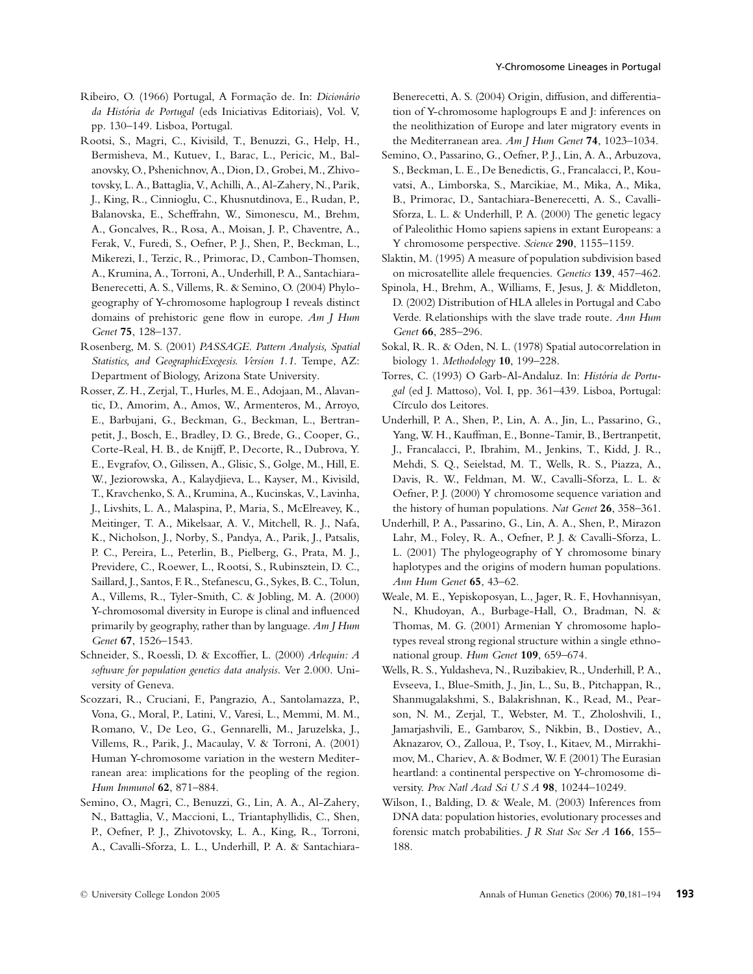- Ribeiro, O. (1966) Portugal, A Formação de. In: *Dicionário da Historia de Portugal ´* (eds Iniciativas Editoriais), Vol. V, pp. 130–149. Lisboa, Portugal.
- Rootsi, S., Magri, C., Kivisild, T., Benuzzi, G., Help, H., Bermisheva, M., Kutuev, I., Barac, L., Pericic, M., Balanovsky, O., Pshenichnov, A., Dion, D., Grobei, M., Zhivotovsky, L. A., Battaglia, V., Achilli, A., Al-Zahery, N., Parik, J., King, R., Cinnioglu, C., Khusnutdinova, E., Rudan, P., Balanovska, E., Scheffrahn, W., Simonescu, M., Brehm, A., Goncalves, R., Rosa, A., Moisan, J. P., Chaventre, A., Ferak, V., Furedi, S., Oefner, P. J., Shen, P., Beckman, L., Mikerezi, I., Terzic, R., Primorac, D., Cambon-Thomsen, A., Krumina, A., Torroni, A., Underhill, P. A., Santachiara-Benerecetti, A. S., Villems, R. & Semino, O. (2004) Phylogeography of Y-chromosome haplogroup I reveals distinct domains of prehistoric gene flow in europe. *Am J Hum Genet* **75**, 128–137.
- Rosenberg, M. S. (2001) *PASSAGE. Pattern Analysis, Spatial Statistics, and GeographicExegesis. Version 1.1*. Tempe, AZ: Department of Biology, Arizona State University.
- Rosser, Z. H., Zerjal, T., Hurles, M. E., Adojaan, M., Alavantic, D., Amorim, A., Amos, W., Armenteros, M., Arroyo, E., Barbujani, G., Beckman, G., Beckman, L., Bertranpetit, J., Bosch, E., Bradley, D. G., Brede, G., Cooper, G., Corte-Real, H. B., de Knijff, P., Decorte, R., Dubrova, Y. E., Evgrafov, O., Gilissen, A., Glisic, S., Golge, M., Hill, E. W., Jeziorowska, A., Kalaydjieva, L., Kayser, M., Kivisild, T., Kravchenko, S. A., Krumina, A., Kucinskas, V., Lavinha, J., Livshits, L. A., Malaspina, P., Maria, S., McElreavey, K., Meitinger, T. A., Mikelsaar, A. V., Mitchell, R. J., Nafa, K., Nicholson, J., Norby, S., Pandya, A., Parik, J., Patsalis, P. C., Pereira, L., Peterlin, B., Pielberg, G., Prata, M. J., Previdere, C., Roewer, L., Rootsi, S., Rubinsztein, D. C., Saillard, J., Santos, F. R., Stefanescu, G., Sykes, B. C., Tolun, A., Villems, R., Tyler-Smith, C. & Jobling, M. A. (2000) Y-chromosomal diversity in Europe is clinal and influenced primarily by geography, rather than by language. *Am J Hum Genet* **67**, 1526–1543.
- Schneider, S., Roessli, D. & Excoffier, L. (2000) *Arlequin: A software for population genetics data analysis*. Ver 2.000. University of Geneva.
- Scozzari, R., Cruciani, F., Pangrazio, A., Santolamazza, P., Vona, G., Moral, P., Latini, V., Varesi, L., Memmi, M. M., Romano, V., De Leo, G., Gennarelli, M., Jaruzelska, J., Villems, R., Parik, J., Macaulay, V. & Torroni, A. (2001) Human Y-chromosome variation in the western Mediterranean area: implications for the peopling of the region. *Hum Immunol* **62**, 871–884.
- Semino, O., Magri, C., Benuzzi, G., Lin, A. A., Al-Zahery, N., Battaglia, V., Maccioni, L., Triantaphyllidis, C., Shen, P., Oefner, P. J., Zhivotovsky, L. A., King, R., Torroni, A., Cavalli-Sforza, L. L., Underhill, P. A. & Santachiara-

Benerecetti, A. S. (2004) Origin, diffusion, and differentiation of Y-chromosome haplogroups E and J: inferences on the neolithization of Europe and later migratory events in the Mediterranean area. *Am J Hum Genet* **74**, 1023–1034.

- Semino, O., Passarino, G., Oefner, P. J., Lin, A. A., Arbuzova, S., Beckman, L. E., De Benedictis, G., Francalacci, P., Kouvatsi, A., Limborska, S., Marcikiae, M., Mika, A., Mika, B., Primorac, D., Santachiara-Benerecetti, A. S., Cavalli-Sforza, L. L. & Underhill, P. A. (2000) The genetic legacy of Paleolithic Homo sapiens sapiens in extant Europeans: a Y chromosome perspective. *Science* **290**, 1155–1159.
- Slaktin, M. (1995) A measure of population subdivision based on microsatellite allele frequencies. *Genetics* **139**, 457–462.
- Spinola, H., Brehm, A., Williams, F., Jesus, J. & Middleton, D. (2002) Distribution of HLA alleles in Portugal and Cabo Verde. Relationships with the slave trade route. *Ann Hum Genet* **66**, 285–296.
- Sokal, R. R. & Oden, N. L. (1978) Spatial autocorrelation in biology 1. *Methodology* **10**, 199–228.
- Torres, C. (1993) O Garb-Al-Andaluz. In: *Historia de Portu- ´ gal* (ed J. Mattoso), Vol. I, pp. 361–439. Lisboa, Portugal: Círculo dos Leitores.
- Underhill, P. A., Shen, P., Lin, A. A., Jin, L., Passarino, G., Yang, W. H., Kauffman, E., Bonne-Tamir, B., Bertranpetit, J., Francalacci, P., Ibrahim, M., Jenkins, T., Kidd, J. R., Mehdi, S. Q., Seielstad, M. T., Wells, R. S., Piazza, A., Davis, R. W., Feldman, M. W., Cavalli-Sforza, L. L. & Oefner, P. J. (2000) Y chromosome sequence variation and the history of human populations. *Nat Genet* **26**, 358–361.
- Underhill, P. A., Passarino, G., Lin, A. A., Shen, P., Mirazon Lahr, M., Foley, R. A., Oefner, P. J. & Cavalli-Sforza, L. L. (2001) The phylogeography of Y chromosome binary haplotypes and the origins of modern human populations. *Ann Hum Genet* **65**, 43–62.
- Weale, M. E., Yepiskoposyan, L., Jager, R. F., Hovhannisyan, N., Khudoyan, A., Burbage-Hall, O., Bradman, N. & Thomas, M. G. (2001) Armenian Y chromosome haplotypes reveal strong regional structure within a single ethnonational group. *Hum Genet* **109**, 659–674.
- Wells, R. S., Yuldasheva, N., Ruzibakiev, R., Underhill, P. A., Evseeva, I., Blue-Smith, J., Jin, L., Su, B., Pitchappan, R., Shanmugalakshmi, S., Balakrishnan, K., Read, M., Pearson, N. M., Zerjal, T., Webster, M. T., Zholoshvili, I., Jamarjashvili, E., Gambarov, S., Nikbin, B., Dostiev, A., Aknazarov, O., Zalloua, P., Tsoy, I., Kitaev, M., Mirrakhimov, M., Chariev, A. & Bodmer, W. F. (2001) The Eurasian heartland: a continental perspective on Y-chromosome diversity. *Proc Natl Acad Sci U S A* **98**, 10244–10249.
- Wilson, I., Balding, D. & Weale, M. (2003) Inferences from DNA data: population histories, evolutionary processes and forensic match probabilities. *J R Stat Soc Ser A* **166**, 155– 188.